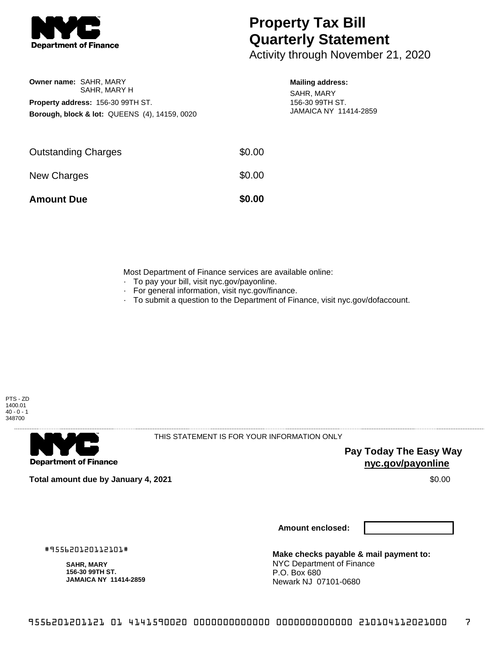

## **Property Tax Bill Quarterly Statement**

Activity through November 21, 2020

| <b>Owner name: SAHR. MARY</b>                            |  |  |  |  |
|----------------------------------------------------------|--|--|--|--|
| SAHR. MARY H                                             |  |  |  |  |
| <b>Property address: 156-30 99TH ST.</b>                 |  |  |  |  |
| <b>Borough, block &amp; lot: QUEENS (4), 14159, 0020</b> |  |  |  |  |

## **Mailing address:**

SAHR, MARY 156-30 99TH ST. JAMAICA NY 11414-2859

| <b>Amount Due</b>          | \$0.00 |
|----------------------------|--------|
| New Charges                | \$0.00 |
| <b>Outstanding Charges</b> | \$0.00 |

Most Department of Finance services are available online:

- · To pay your bill, visit nyc.gov/payonline.
- For general information, visit nyc.gov/finance.
- · To submit a question to the Department of Finance, visit nyc.gov/dofaccount.





THIS STATEMENT IS FOR YOUR INFORMATION ONLY

**Pay Today The Easy Way nyc.gov/payonline**

**Total amount due by January 4, 2021** \$0.00

**Amount enclosed:**

#955620120112101#

**SAHR, MARY 156-30 99TH ST. JAMAICA NY 11414-2859**

**Make checks payable & mail payment to:** NYC Department of Finance P.O. Box 680 Newark NJ 07101-0680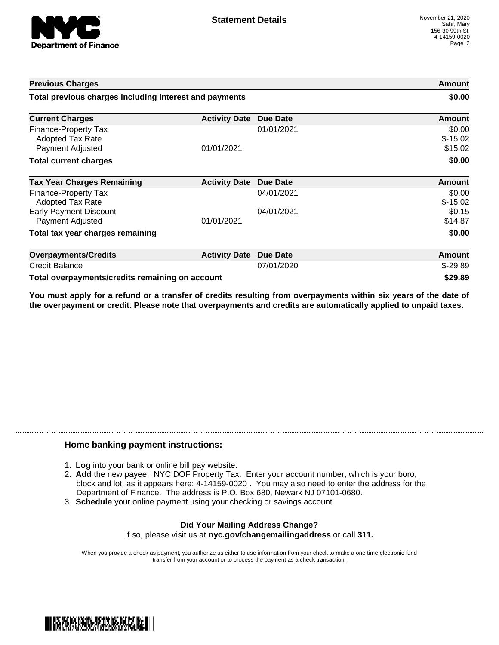

| <b>Previous Charges</b>                                      |                      |                 | Amount                         |
|--------------------------------------------------------------|----------------------|-----------------|--------------------------------|
| Total previous charges including interest and payments       |                      |                 | \$0.00                         |
| <b>Current Charges</b>                                       | <b>Activity Date</b> | <b>Due Date</b> | Amount                         |
| Finance-Property Tax<br>Adopted Tax Rate<br>Payment Adjusted | 01/01/2021           | 01/01/2021      | \$0.00<br>$$-15.02$<br>\$15.02 |
| <b>Total current charges</b>                                 |                      |                 | \$0.00                         |
| <b>Tax Year Charges Remaining</b>                            | <b>Activity Date</b> | Due Date        | <b>Amount</b>                  |
| Finance-Property Tax<br>Adopted Tax Rate                     |                      | 04/01/2021      | \$0.00<br>$$-15.02$            |
| <b>Early Payment Discount</b><br>Payment Adjusted            | 01/01/2021           | 04/01/2021      | \$0.15<br>\$14.87              |
| Total tax year charges remaining                             |                      |                 | \$0.00                         |
| <b>Overpayments/Credits</b>                                  | <b>Activity Date</b> | <b>Due Date</b> | Amount                         |
| <b>Credit Balance</b>                                        |                      | 07/01/2020      | $$-29.89$                      |
| Total overpayments/credits remaining on account              |                      |                 | \$29.89                        |

You must apply for a refund or a transfer of credits resulting from overpayments within six years of the date of **the overpayment or credit. Please note that overpayments and credits are automatically applied to unpaid taxes.**

## **Home banking payment instructions:**

- 1. **Log** into your bank or online bill pay website.
- 2. **Add** the new payee: NYC DOF Property Tax. Enter your account number, which is your boro, block and lot, as it appears here: 4-14159-0020 . You may also need to enter the address for the Department of Finance. The address is P.O. Box 680, Newark NJ 07101-0680.
- 3. **Schedule** your online payment using your checking or savings account.

## **Did Your Mailing Address Change?** If so, please visit us at **nyc.gov/changemailingaddress** or call **311.**

When you provide a check as payment, you authorize us either to use information from your check to make a one-time electronic fund transfer from your account or to process the payment as a check transaction.